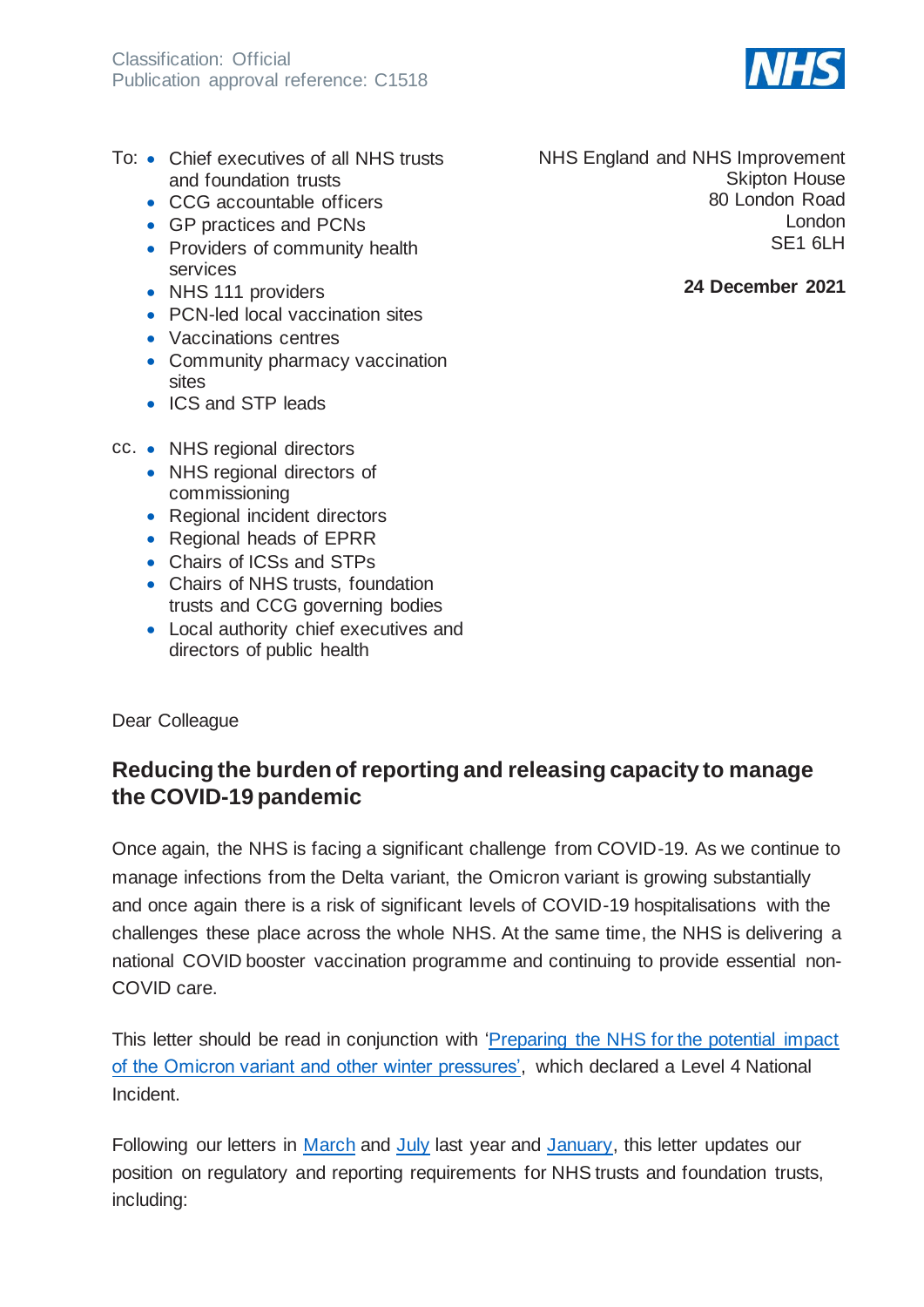- To: Chief executives of all NHS trusts and foundation trusts
	- CCG accountable officers
	- GP practices and PCNs
	- Providers of community health services
	- NHS 111 providers
	- PCN-led local vaccination sites
	- Vaccinations centres
	- Community pharmacy vaccination sites
	- ICS and STP leads

NHS England and NHS Improvement Skipton House 80 London Road London SE1 6LH

### **24 December 2021**

#### cc. • NHS regional directors

- NHS regional directors of commissioning
- Regional incident directors
- Regional heads of EPRR
- Chairs of ICSs and STPs
- Chairs of NHS trusts, foundation trusts and CCG governing bodies
- Local authority chief executives and directors of public health

#### Dear Colleague

## **Reducing the burden of reporting and releasing capacity to manage the COVID-19 pandemic**

Once again, the NHS is facing a significant challenge from COVID-19. As we continue to manage infections from the Delta variant, the Omicron variant is growing substantially and once again there is a risk of significant levels of COVID-19 hospitalisations with the challenges these place across the whole NHS. At the same time, the NHS is delivering a national COVID booster vaccination programme and continuing to provide essential non-COVID care.

This letter should be read in conjunction with ['Preparing the NHS for the potential impact](https://www.england.nhs.uk/coronavirus/publication/preparing-the-nhs-for-the-potential-impact-of-the-omicron-variant-and-other-winter-pressures/)  [of the Omicron variant and other winter pressures',](https://www.england.nhs.uk/coronavirus/publication/preparing-the-nhs-for-the-potential-impact-of-the-omicron-variant-and-other-winter-pressures/) which declared a Level 4 National Incident.

Following our letters in [March](https://www.england.nhs.uk/coronavirus/wp-content/uploads/sites/52/2020/03/C0113-reducing-burden-and-releasing-capacity-at-nhs-providers-and-commissioners.pdf) and [July](https://www.england.nhs.uk/coronavirus/wp-content/uploads/sites/52/2020/07/20200731-Phase-3-letter-final-1.pdf) last year and [January,](https://www.england.nhs.uk/coronavirus/publication/reducing-burden-and-releasing-capacity-to-manage-the-covid-19-pandemic/) this letter updates our position on regulatory and reporting requirements for NHS trusts and foundation trusts, including:

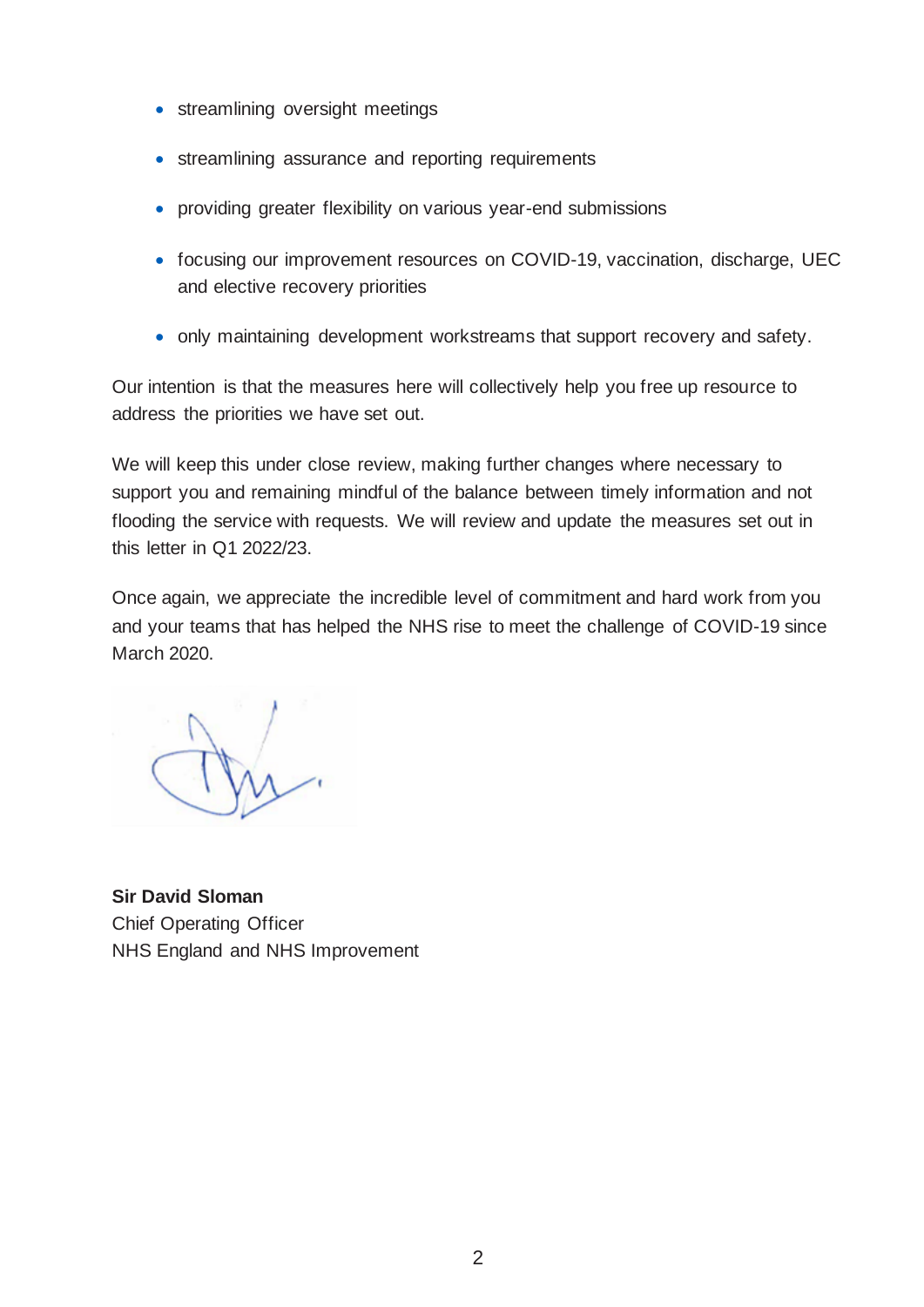- streamlining oversight meetings
- streamlining assurance and reporting requirements
- providing greater flexibility on various year-end submissions
- focusing our improvement resources on COVID-19, vaccination, discharge, UEC and elective recovery priorities
- only maintaining development workstreams that support recovery and safety.

Our intention is that the measures here will collectively help you free up resource to address the priorities we have set out.

We will keep this under close review, making further changes where necessary to support you and remaining mindful of the balance between timely information and not flooding the service with requests. We will review and update the measures set out in this letter in Q1 2022/23.

Once again, we appreciate the incredible level of commitment and hard work from you and your teams that has helped the NHS rise to meet the challenge of COVID-19 since March 2020.

**Sir David Sloman** Chief Operating Officer NHS England and NHS Improvement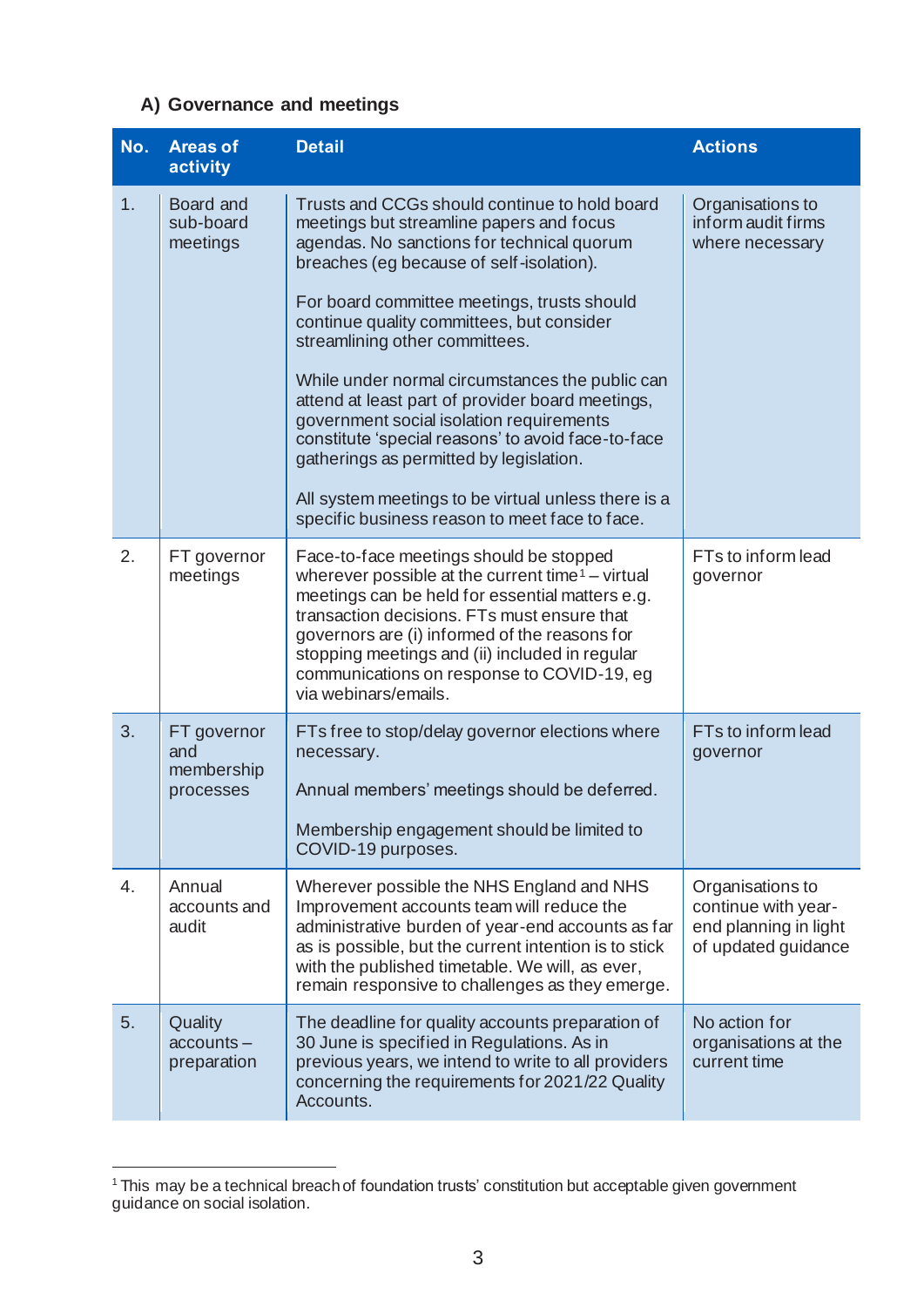## **A) Governance and meetings**

| No. | <b>Areas of</b><br>activity                   | <b>Detail</b>                                                                                                                                                                                                                                                                                                                                                                                                                                                                                                                                                                                                                                                                  | <b>Actions</b>                                                                          |
|-----|-----------------------------------------------|--------------------------------------------------------------------------------------------------------------------------------------------------------------------------------------------------------------------------------------------------------------------------------------------------------------------------------------------------------------------------------------------------------------------------------------------------------------------------------------------------------------------------------------------------------------------------------------------------------------------------------------------------------------------------------|-----------------------------------------------------------------------------------------|
| 1.  | Board and<br>sub-board<br>meetings            | Trusts and CCGs should continue to hold board<br>meetings but streamline papers and focus<br>agendas. No sanctions for technical quorum<br>breaches (eg because of self-isolation).<br>For board committee meetings, trusts should<br>continue quality committees, but consider<br>streamlining other committees.<br>While under normal circumstances the public can<br>attend at least part of provider board meetings,<br>government social isolation requirements<br>constitute 'special reasons' to avoid face-to-face<br>gatherings as permitted by legislation.<br>All system meetings to be virtual unless there is a<br>specific business reason to meet face to face. | Organisations to<br>inform audit firms<br>where necessary                               |
| 2.  | FT governor<br>meetings                       | Face-to-face meetings should be stopped<br>wherever possible at the current time <sup>1</sup> – virtual<br>meetings can be held for essential matters e.g.<br>transaction decisions. FTs must ensure that<br>governors are (i) informed of the reasons for<br>stopping meetings and (ii) included in regular<br>communications on response to COVID-19, eg<br>via webinars/emails.                                                                                                                                                                                                                                                                                             | FTs to inform lead<br>governor                                                          |
| 3.  | FT governor<br>and<br>membership<br>processes | FTs free to stop/delay governor elections where<br>necessary.<br>Annual members' meetings should be deferred.<br>Membership engagement should be limited to<br>COVID-19 purposes.                                                                                                                                                                                                                                                                                                                                                                                                                                                                                              | FTs to inform lead<br>governor                                                          |
| 4.  | Annual<br>accounts and<br>audit               | Wherever possible the NHS England and NHS<br>Improvement accounts team will reduce the<br>administrative burden of year-end accounts as far<br>as is possible, but the current intention is to stick<br>with the published timetable. We will, as ever,<br>remain responsive to challenges as they emerge.                                                                                                                                                                                                                                                                                                                                                                     | Organisations to<br>continue with year-<br>end planning in light<br>of updated guidance |
| 5.  | Quality<br>$accounts -$<br>preparation        | The deadline for quality accounts preparation of<br>30 June is specified in Regulations. As in<br>previous years, we intend to write to all providers<br>concerning the requirements for 2021/22 Quality<br>Accounts.                                                                                                                                                                                                                                                                                                                                                                                                                                                          | No action for<br>organisations at the<br>current time                                   |

<sup>&</sup>lt;sup>1</sup> This may be a technical breach of foundation trusts' constitution but acceptable given government guidance on social isolation.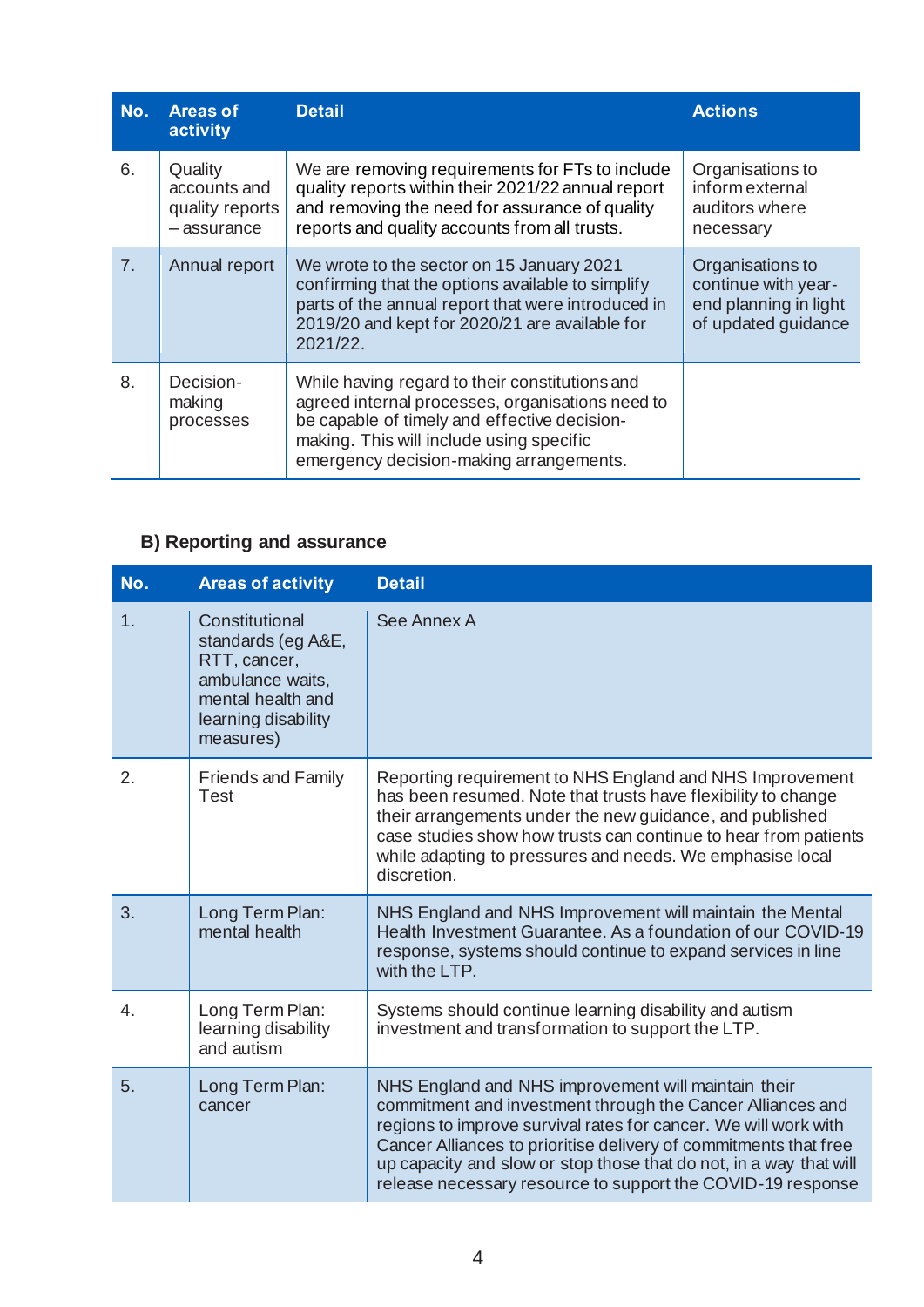| No.            | <b>Areas of</b><br>activity                              | <b>Detail</b>                                                                                                                                                                                                                             | <b>Actions</b>                                                                          |
|----------------|----------------------------------------------------------|-------------------------------------------------------------------------------------------------------------------------------------------------------------------------------------------------------------------------------------------|-----------------------------------------------------------------------------------------|
| 6.             | Quality<br>accounts and<br>quality reports<br>-assurance | We are removing requirements for FTs to include<br>quality reports within their 2021/22 annual report<br>and removing the need for assurance of quality<br>reports and quality accounts from all trusts.                                  | Organisations to<br>inform external<br>auditors where<br>necessary                      |
| 7 <sub>1</sub> | Annual report                                            | We wrote to the sector on 15 January 2021<br>confirming that the options available to simplify<br>parts of the annual report that were introduced in<br>2019/20 and kept for 2020/21 are available for<br>$2021/22$ .                     | Organisations to<br>continue with year-<br>end planning in light<br>of updated guidance |
| 8.             | Decision-<br>making<br>processes                         | While having regard to their constitutions and<br>agreed internal processes, organisations need to<br>be capable of timely and effective decision-<br>making. This will include using specific<br>emergency decision-making arrangements. |                                                                                         |

# **B) Reporting and assurance**

| No.            | <b>Areas of activity</b>                                                                                                          | <b>Detail</b>                                                                                                                                                                                                                                                                                                                                                                                 |
|----------------|-----------------------------------------------------------------------------------------------------------------------------------|-----------------------------------------------------------------------------------------------------------------------------------------------------------------------------------------------------------------------------------------------------------------------------------------------------------------------------------------------------------------------------------------------|
| 1 <sub>1</sub> | Constitutional<br>standards (eg A&E,<br>RTT, cancer,<br>ambulance waits,<br>mental health and<br>learning disability<br>measures) | See Annex A                                                                                                                                                                                                                                                                                                                                                                                   |
| 2.             | <b>Friends and Family</b><br><b>Test</b>                                                                                          | Reporting requirement to NHS England and NHS Improvement<br>has been resumed. Note that trusts have flexibility to change<br>their arrangements under the new guidance, and published<br>case studies show how trusts can continue to hear from patients<br>while adapting to pressures and needs. We emphasise local<br>discretion.                                                          |
| 3.             | Long Term Plan:<br>mental health                                                                                                  | NHS England and NHS Improvement will maintain the Mental<br>Health Investment Guarantee. As a foundation of our COVID-19<br>response, systems should continue to expand services in line<br>with the LTP.                                                                                                                                                                                     |
| 4.             | Long Term Plan:<br>learning disability<br>and autism                                                                              | Systems should continue learning disability and autism<br>investment and transformation to support the LTP.                                                                                                                                                                                                                                                                                   |
| 5.             | Long Term Plan:<br>cancer                                                                                                         | NHS England and NHS improvement will maintain their<br>commitment and investment through the Cancer Alliances and<br>regions to improve survival rates for cancer. We will work with<br>Cancer Alliances to prioritise delivery of commitments that free<br>up capacity and slow or stop those that do not, in a way that will<br>release necessary resource to support the COVID-19 response |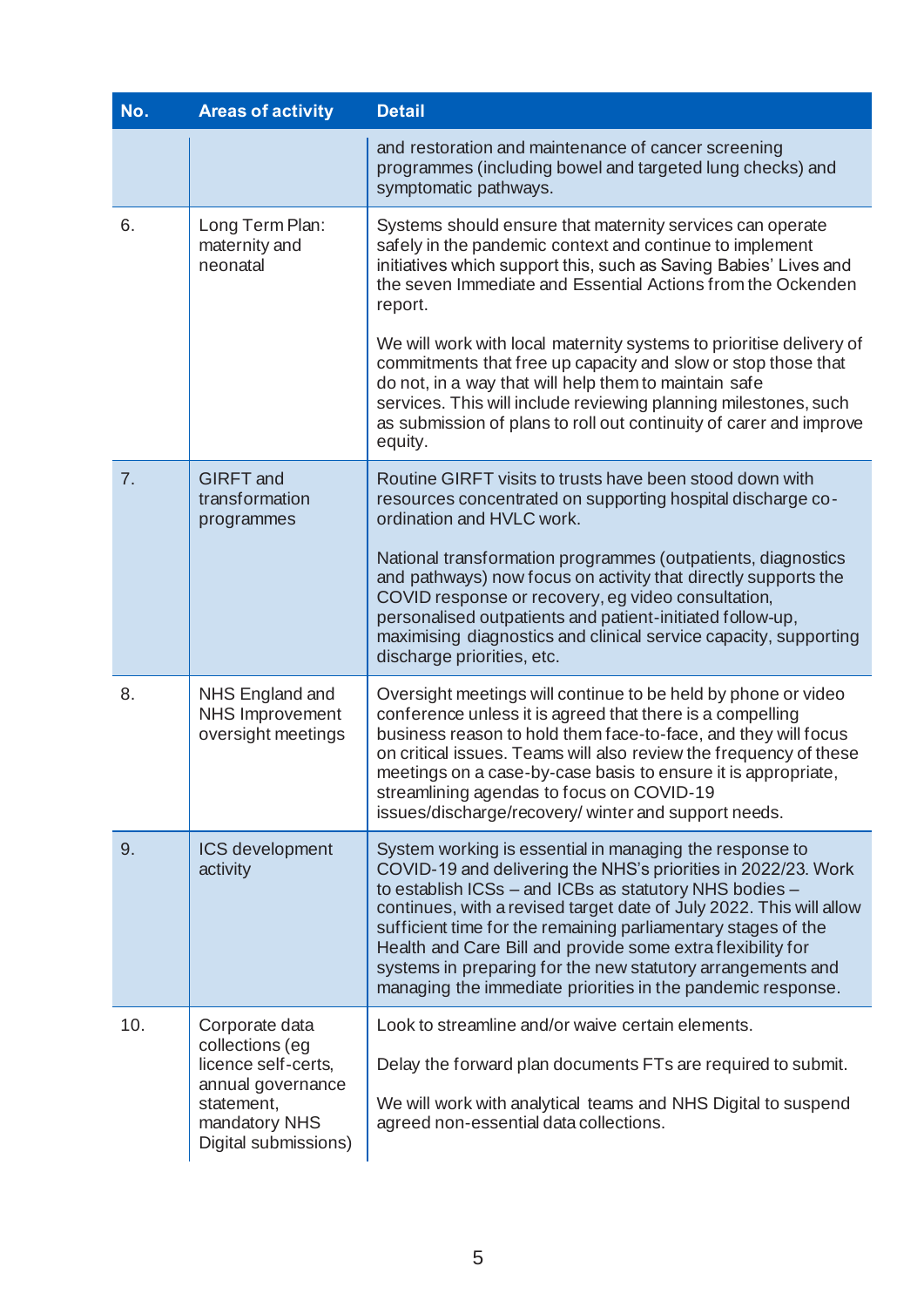| No. | <b>Areas of activity</b>                                                 | <b>Detail</b>                                                                                                                                                                                                                                                                                                                                                                                                                                                                                                           |
|-----|--------------------------------------------------------------------------|-------------------------------------------------------------------------------------------------------------------------------------------------------------------------------------------------------------------------------------------------------------------------------------------------------------------------------------------------------------------------------------------------------------------------------------------------------------------------------------------------------------------------|
|     |                                                                          | and restoration and maintenance of cancer screening<br>programmes (including bowel and targeted lung checks) and<br>symptomatic pathways.                                                                                                                                                                                                                                                                                                                                                                               |
| 6.  | Long Term Plan:<br>maternity and<br>neonatal                             | Systems should ensure that maternity services can operate<br>safely in the pandemic context and continue to implement<br>initiatives which support this, such as Saving Babies' Lives and<br>the seven Immediate and Essential Actions from the Ockenden<br>report.                                                                                                                                                                                                                                                     |
|     |                                                                          | We will work with local maternity systems to prioritise delivery of<br>commitments that free up capacity and slow or stop those that<br>do not, in a way that will help them to maintain safe<br>services. This will include reviewing planning milestones, such<br>as submission of plans to roll out continuity of carer and improve<br>equity.                                                                                                                                                                       |
| 7.  | <b>GIRFT</b> and<br>transformation<br>programmes                         | Routine GIRFT visits to trusts have been stood down with<br>resources concentrated on supporting hospital discharge co-<br>ordination and HVLC work.                                                                                                                                                                                                                                                                                                                                                                    |
|     |                                                                          | National transformation programmes (outpatients, diagnostics<br>and pathways) now focus on activity that directly supports the<br>COVID response or recovery, eg video consultation,<br>personalised outpatients and patient-initiated follow-up,<br>maximising diagnostics and clinical service capacity, supporting<br>discharge priorities, etc.                                                                                                                                                                     |
| 8.  | NHS England and<br><b>NHS Improvement</b><br>oversight meetings          | Oversight meetings will continue to be held by phone or video<br>conference unless it is agreed that there is a compelling<br>business reason to hold them face-to-face, and they will focus<br>on critical issues. Teams will also review the frequency of these<br>meetings on a case-by-case basis to ensure it is appropriate,<br>streamlining agendas to focus on COVID-19<br>issues/discharge/recovery/winter and support needs.                                                                                  |
| 9.  | ICS development<br>activity                                              | System working is essential in managing the response to<br>COVID-19 and delivering the NHS's priorities in 2022/23. Work<br>to establish ICSs - and ICBs as statutory NHS bodies -<br>continues, with a revised target date of July 2022. This will allow<br>sufficient time for the remaining parliamentary stages of the<br>Health and Care Bill and provide some extra flexibility for<br>systems in preparing for the new statutory arrangements and<br>managing the immediate priorities in the pandemic response. |
| 10. | Corporate data<br>collections (eg                                        | Look to streamline and/or waive certain elements.                                                                                                                                                                                                                                                                                                                                                                                                                                                                       |
|     | licence self-certs,                                                      | Delay the forward plan documents FTs are required to submit.                                                                                                                                                                                                                                                                                                                                                                                                                                                            |
|     | annual governance<br>statement,<br>mandatory NHS<br>Digital submissions) | We will work with analytical teams and NHS Digital to suspend<br>agreed non-essential data collections.                                                                                                                                                                                                                                                                                                                                                                                                                 |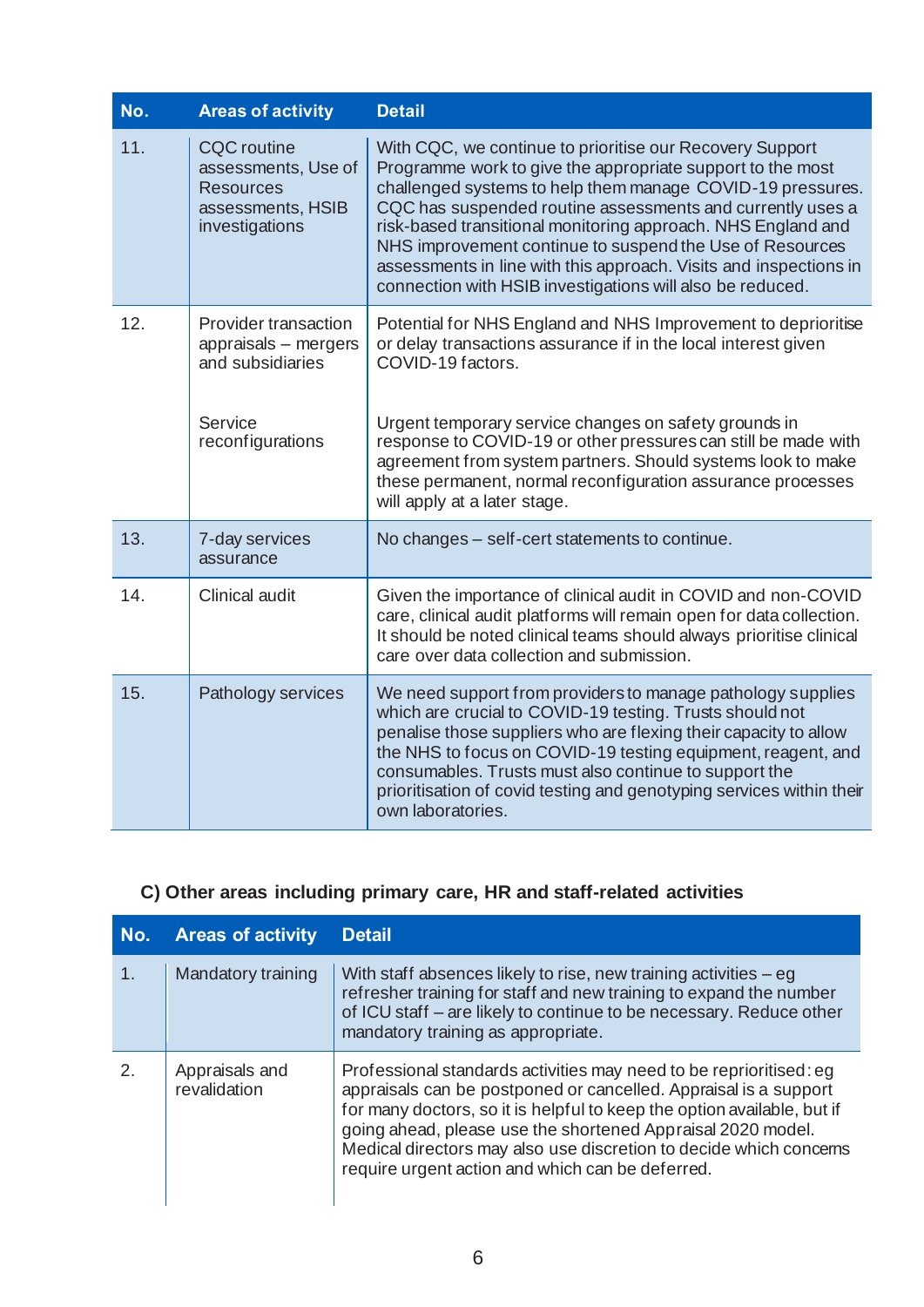| No. | <b>Areas of activity</b>                                                                             | <b>Detail</b>                                                                                                                                                                                                                                                                                                                                                                                                                                                                                                    |
|-----|------------------------------------------------------------------------------------------------------|------------------------------------------------------------------------------------------------------------------------------------------------------------------------------------------------------------------------------------------------------------------------------------------------------------------------------------------------------------------------------------------------------------------------------------------------------------------------------------------------------------------|
| 11. | <b>CQC</b> routine<br>assessments, Use of<br><b>Resources</b><br>assessments, HSIB<br>investigations | With CQC, we continue to prioritise our Recovery Support<br>Programme work to give the appropriate support to the most<br>challenged systems to help them manage COVID-19 pressures.<br>CQC has suspended routine assessments and currently uses a<br>risk-based transitional monitoring approach. NHS England and<br>NHS improvement continue to suspend the Use of Resources<br>assessments in line with this approach. Visits and inspections in<br>connection with HSIB investigations will also be reduced. |
| 12. | Provider transaction<br>appraisals - mergers<br>and subsidiaries                                     | Potential for NHS England and NHS Improvement to deprioritise<br>or delay transactions assurance if in the local interest given<br>COVID-19 factors.                                                                                                                                                                                                                                                                                                                                                             |
|     | Service<br>reconfigurations                                                                          | Urgent temporary service changes on safety grounds in<br>response to COVID-19 or other pressures can still be made with<br>agreement from system partners. Should systems look to make<br>these permanent, normal reconfiguration assurance processes<br>will apply at a later stage.                                                                                                                                                                                                                            |
| 13. | 7-day services<br>assurance                                                                          | No changes - self-cert statements to continue.                                                                                                                                                                                                                                                                                                                                                                                                                                                                   |
| 14. | <b>Clinical audit</b>                                                                                | Given the importance of clinical audit in COVID and non-COVID<br>care, clinical audit platforms will remain open for data collection.<br>It should be noted clinical teams should always prioritise clinical<br>care over data collection and submission.                                                                                                                                                                                                                                                        |
| 15. | Pathology services                                                                                   | We need support from providers to manage pathology supplies<br>which are crucial to COVID-19 testing. Trusts should not<br>penalise those suppliers who are flexing their capacity to allow<br>the NHS to focus on COVID-19 testing equipment, reagent, and<br>consumables. Trusts must also continue to support the<br>prioritisation of covid testing and genotyping services within their<br>own laboratories.                                                                                                |

## **C) Other areas including primary care, HR and staff-related activities**

| No.     | <b>Areas of activity</b>       | <b>Detail</b>                                                                                                                                                                                                                                                                                                                                                                                              |
|---------|--------------------------------|------------------------------------------------------------------------------------------------------------------------------------------------------------------------------------------------------------------------------------------------------------------------------------------------------------------------------------------------------------------------------------------------------------|
| 1.      | Mandatory training             | With staff absences likely to rise, new training activities $-\text{eg}$<br>refresher training for staff and new training to expand the number<br>of ICU staff - are likely to continue to be necessary. Reduce other<br>mandatory training as appropriate.                                                                                                                                                |
| $2_{-}$ | Appraisals and<br>revalidation | Professional standards activities may need to be reprioritised: eg<br>appraisals can be postponed or cancelled. Appraisal is a support<br>for many doctors, so it is helpful to keep the option available, but if<br>going ahead, please use the shortened Appraisal 2020 model.<br>Medical directors may also use discretion to decide which concerns<br>require urgent action and which can be deferred. |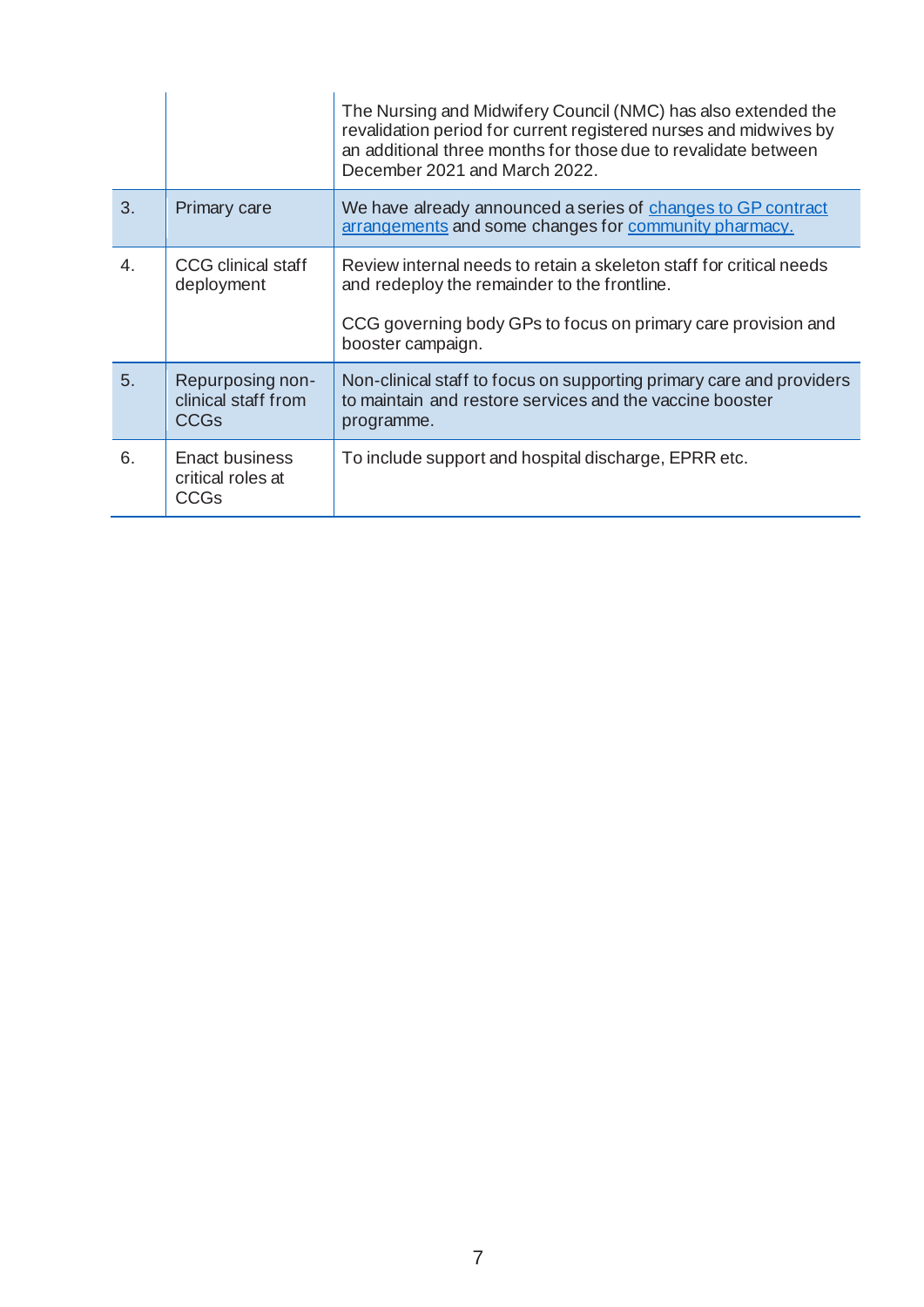|                |                                                        | The Nursing and Midwifery Council (NMC) has also extended the<br>revalidation period for current registered nurses and midwives by<br>an additional three months for those due to revalidate between<br>December 2021 and March 2022. |
|----------------|--------------------------------------------------------|---------------------------------------------------------------------------------------------------------------------------------------------------------------------------------------------------------------------------------------|
| 3.             | Primary care                                           | We have already announced a series of changes to GP contract<br>arrangements and some changes for community pharmacy.                                                                                                                 |
| $\mathbf{4}$ . | <b>CCG</b> clinical staff<br>deployment                | Review internal needs to retain a skeleton staff for critical needs<br>and redeploy the remainder to the frontline.<br>CCG governing body GPs to focus on primary care provision and<br>booster campaign.                             |
| 5.             | Repurposing non-<br>clinical staff from<br><b>CCGs</b> | Non-clinical staff to focus on supporting primary care and providers<br>to maintain and restore services and the vaccine booster<br>programme.                                                                                        |
| 6.             | Enact business<br>critical roles at<br>CCGs            | To include support and hospital discharge, EPRR etc.                                                                                                                                                                                  |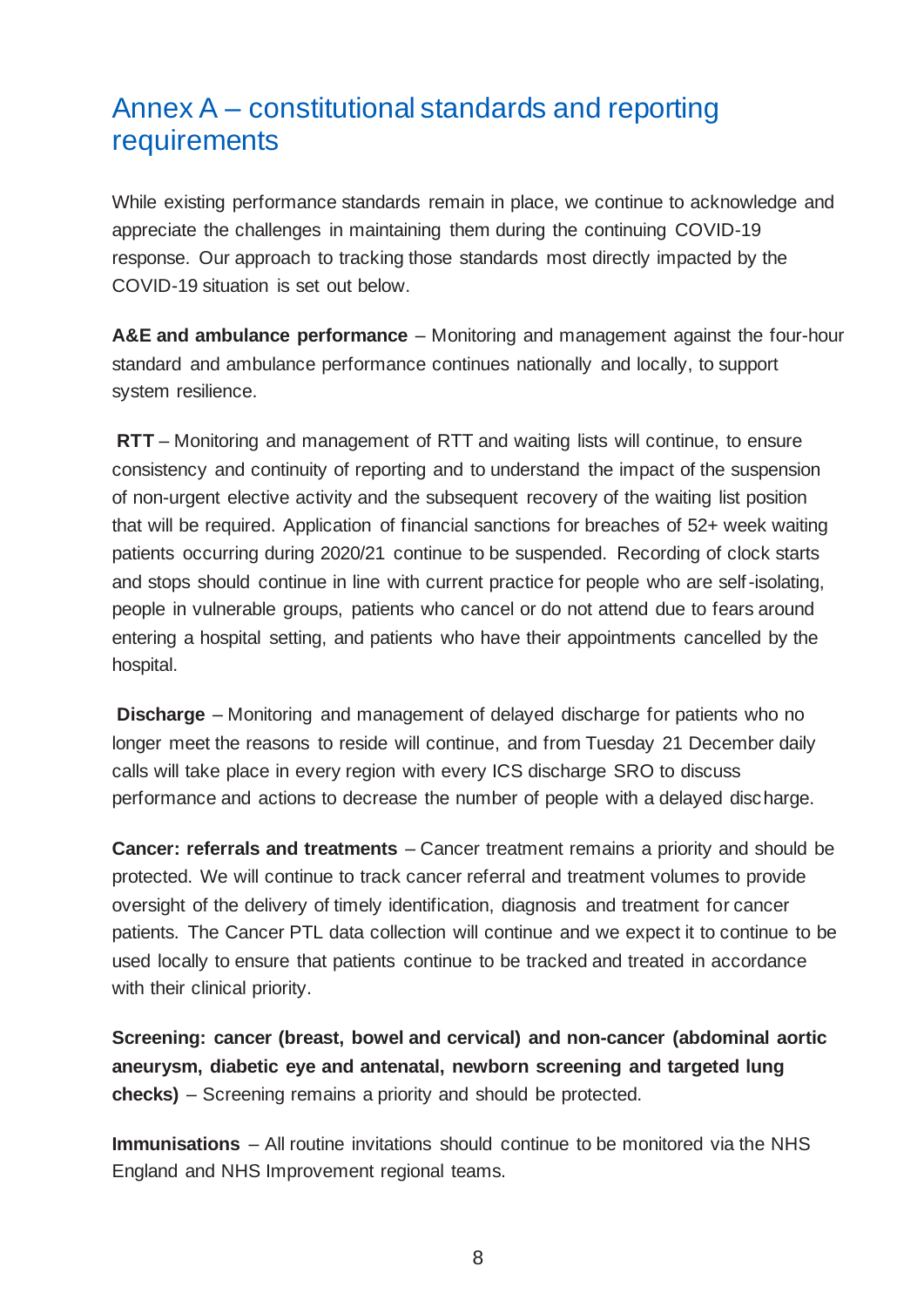# Annex A – constitutional standards and reporting requirements

While existing performance standards remain in place, we continue to acknowledge and appreciate the challenges in maintaining them during the continuing COVID-19 response. Our approach to tracking those standards most directly impacted by the COVID-19 situation is set out below.

**A&E and ambulance performance** – Monitoring and management against the four-hour standard and ambulance performance continues nationally and locally, to support system resilience.

**RTT** – Monitoring and management of RTT and waiting lists will continue, to ensure consistency and continuity of reporting and to understand the impact of the suspension of non-urgent elective activity and the subsequent recovery of the waiting list position that will be required. Application of financial sanctions for breaches of 52+ week waiting patients occurring during 2020/21 continue to be suspended. Recording of clock starts and stops should continue in line with current practice for people who are self-isolating, people in vulnerable groups, patients who cancel or do not attend due to fears around entering a hospital setting, and patients who have their appointments cancelled by the hospital.

**Discharge** – Monitoring and management of delayed discharge for patients who no longer meet the reasons to reside will continue, and from Tuesday 21 December daily calls will take place in every region with every ICS discharge SRO to discuss performance and actions to decrease the number of people with a delayed discharge.

**Cancer: referrals and treatments** – Cancer treatment remains a priority and should be protected. We will continue to track cancer referral and treatment volumes to provide oversight of the delivery of timely identification, diagnosis and treatment for cancer patients. The Cancer PTL data collection will continue and we expect it to continue to be used locally to ensure that patients continue to be tracked and treated in accordance with their clinical priority.

**Screening: cancer (breast, bowel and cervical) and non-cancer (abdominal aortic aneurysm, diabetic eye and antenatal, newborn screening and targeted lung checks)** – Screening remains a priority and should be protected.

**Immunisations** – All routine invitations should continue to be monitored via the NHS England and NHS Improvement regional teams.